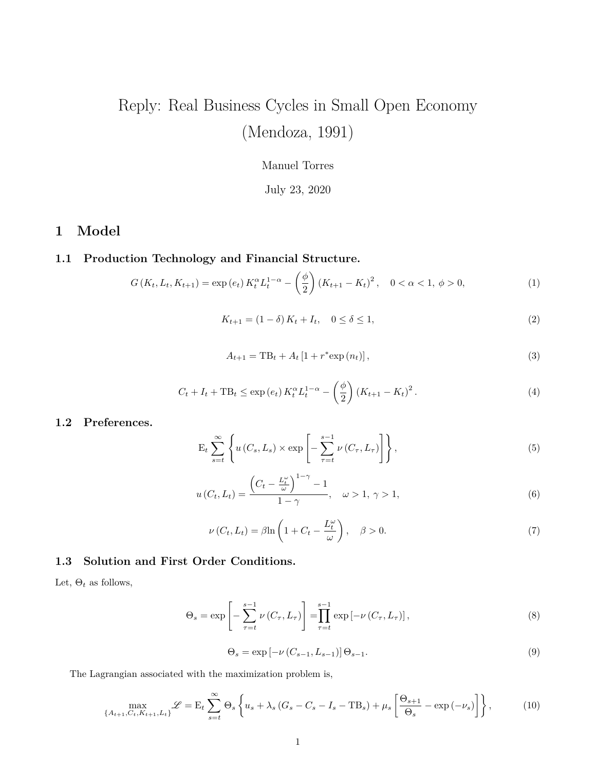# Reply: Real Business Cycles in Small Open Economy (Mendoza, 1991)

#### Manuel Torres

### July 23, 2020

# **1 Model**

# **1.1 Production Technology and Financial Structure.**

$$
G(K_t, L_t, K_{t+1}) = \exp(e_t) K_t^{\alpha} L_t^{1-\alpha} - \left(\frac{\phi}{2}\right) (K_{t+1} - K_t)^2, \quad 0 < \alpha < 1, \ \phi > 0,
$$
 (1)

$$
K_{t+1} = (1 - \delta) K_t + I_t, \quad 0 \le \delta \le 1,
$$
\n(2)

$$
A_{t+1} = \text{TB}_{t} + A_{t} \left[ 1 + r^* \exp(n_t) \right],
$$
\n(3)

$$
C_t + I_t + \text{TB}_t \le \exp(e_t) K_t^{\alpha} L_t^{1-\alpha} - \left(\frac{\phi}{2}\right) (K_{t+1} - K_t)^2.
$$
 (4)

#### **1.2 Preferences.**

$$
\mathcal{E}_{t} \sum_{s=t}^{\infty} \left\{ u(C_{s}, L_{s}) \times \exp \left[ - \sum_{\tau=t}^{s-1} \nu (C_{\tau}, L_{\tau}) \right] \right\},\tag{5}
$$

$$
u(C_t, L_t) = \frac{\left(C_t - \frac{L_t^{\omega}}{\omega}\right)^{1-\gamma} - 1}{1-\gamma}, \quad \omega > 1, \gamma > 1,
$$
\n
$$
(6)
$$

$$
\nu(C_t, L_t) = \beta \ln \left( 1 + C_t - \frac{L_t^{\omega}}{\omega} \right), \quad \beta > 0.
$$
\n(7)

#### **1.3 Solution and First Order Conditions.**

Let,  $\Theta_t$  as follows,

$$
\Theta_s = \exp\left[-\sum_{\tau=t}^{s-1} \nu\left(C_{\tau}, L_{\tau}\right)\right] = \prod_{\tau=t}^{s-1} \exp\left[-\nu\left(C_{\tau}, L_{\tau}\right)\right],\tag{8}
$$

$$
\Theta_s = \exp\left[-\nu \left(C_{s-1}, L_{s-1}\right)\right] \Theta_{s-1}.\tag{9}
$$

The Lagrangian associated with the maximization problem is,

$$
\max_{\{A_{t+1},C_t,K_{t+1},L_t\}} \mathcal{L} = \mathcal{E}_t \sum_{s=t}^{\infty} \Theta_s \left\{ u_s + \lambda_s \left( G_s - C_s - I_s - \mathcal{T} \mathcal{B}_s \right) + \mu_s \left[ \frac{\Theta_{s+1}}{\Theta_s} - \exp\left( -\nu_s \right) \right] \right\},\tag{10}
$$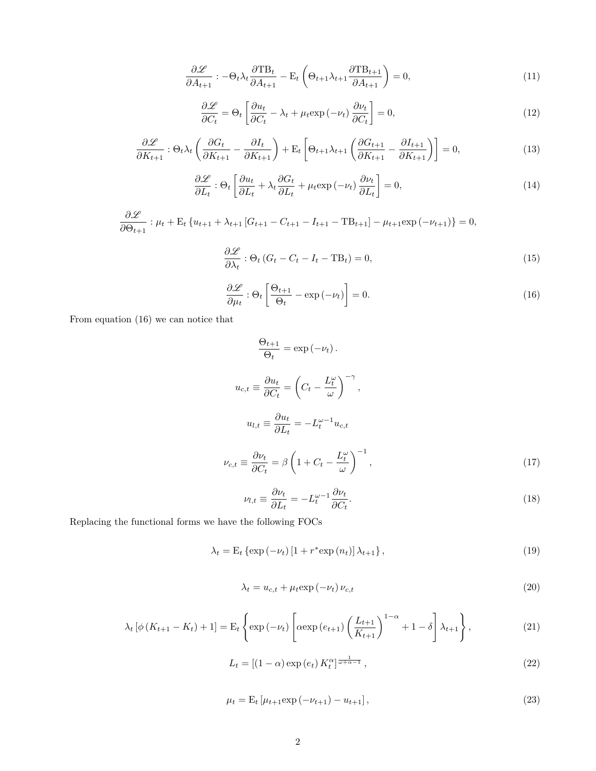$$
\frac{\partial \mathcal{L}}{\partial A_{t+1}} : -\Theta_t \lambda_t \frac{\partial \text{TB}_t}{\partial A_{t+1}} - \mathbf{E}_t \left( \Theta_{t+1} \lambda_{t+1} \frac{\partial \text{TB}_{t+1}}{\partial A_{t+1}} \right) = 0,\tag{11}
$$

$$
\frac{\partial \mathcal{L}}{\partial C_t} = \Theta_t \left[ \frac{\partial u_t}{\partial C_t} - \lambda_t + \mu_t \exp(-\nu_t) \frac{\partial \nu_t}{\partial C_t} \right] = 0,
$$
\n(12)

$$
\frac{\partial \mathcal{L}}{\partial K_{t+1}} : \Theta_t \lambda_t \left( \frac{\partial G_t}{\partial K_{t+1}} - \frac{\partial I_t}{\partial K_{t+1}} \right) + \mathbf{E}_t \left[ \Theta_{t+1} \lambda_{t+1} \left( \frac{\partial G_{t+1}}{\partial K_{t+1}} - \frac{\partial I_{t+1}}{\partial K_{t+1}} \right) \right] = 0,\tag{13}
$$

$$
\frac{\partial \mathcal{L}}{\partial L_t} : \Theta_t \left[ \frac{\partial u_t}{\partial L_t} + \lambda_t \frac{\partial G_t}{\partial L_t} + \mu_t \exp(-\nu_t) \frac{\partial \nu_t}{\partial L_t} \right] = 0,\tag{14}
$$

$$
\frac{\partial \mathcal{L}}{\partial \Theta_{t+1}} : \mu_t + \mathbf{E}_t \left\{ u_{t+1} + \lambda_{t+1} \left[ G_{t+1} - G_{t+1} - I_{t+1} - \mathbf{T} \mathbf{B}_{t+1} \right] - \mu_{t+1} \exp\left(-\nu_{t+1}\right) \right\} = 0,
$$

$$
\frac{\partial \mathcal{L}}{\partial \lambda_t} : \Theta_t \left( G_t - C_t - I_t - \text{TB}_t \right) = 0,\tag{15}
$$

$$
\frac{\partial \mathcal{L}}{\partial \mu_t} : \Theta_t \left[ \frac{\Theta_{t+1}}{\Theta_t} - \exp(-\nu_t) \right] = 0. \tag{16}
$$

From equation (16) we can notice that

$$
\frac{\Theta_{t+1}}{\Theta_t} = \exp(-\nu_t).
$$
  

$$
u_{c,t} \equiv \frac{\partial u_t}{\partial C_t} = \left(C_t - \frac{L_t^{\omega}}{\omega}\right)^{-\gamma},
$$
  

$$
u_{l,t} \equiv \frac{\partial u_t}{\partial L_t} = -L_t^{\omega-1} u_{c,t}
$$
  

$$
\nu_{c,t} \equiv \frac{\partial \nu_t}{\partial C_t} = \beta \left(1 + C_t - \frac{L_t^{\omega}}{\omega}\right)^{-1},
$$
 (17)

$$
\nu_{l,t} \equiv \frac{\partial \nu_t}{\partial L_t} = -L_t^{\omega - 1} \frac{\partial \nu_t}{\partial C_t}.
$$
\n(18)

Replacing the functional forms we have the following FOCs

$$
\lambda_t = \mathcal{E}_t \left\{ \exp\left(-\nu_t\right) \left[1 + r^* \exp\left(n_t\right)\right] \lambda_{t+1} \right\},\tag{19}
$$

$$
\lambda_t = u_{c,t} + \mu_t \exp\left(-\nu_t\right) \nu_{c,t} \tag{20}
$$

$$
\lambda_t \left[ \phi \left( K_{t+1} - K_t \right) + 1 \right] = \mathcal{E}_t \left\{ \exp \left( -\nu_t \right) \left[ \alpha \exp \left( e_{t+1} \right) \left( \frac{L_{t+1}}{K_{t+1}} \right)^{1-\alpha} + 1 - \delta \right] \lambda_{t+1} \right\},\tag{21}
$$

$$
L_t = \left[ (1 - \alpha) \exp\left(e_t\right) K_t^{\alpha} \right]^{\frac{1}{\omega + \alpha - 1}},\tag{22}
$$

$$
\mu_t = \mathcal{E}_t \left[ \mu_{t+1} \exp\left( -\nu_{t+1} \right) - u_{t+1} \right],\tag{23}
$$